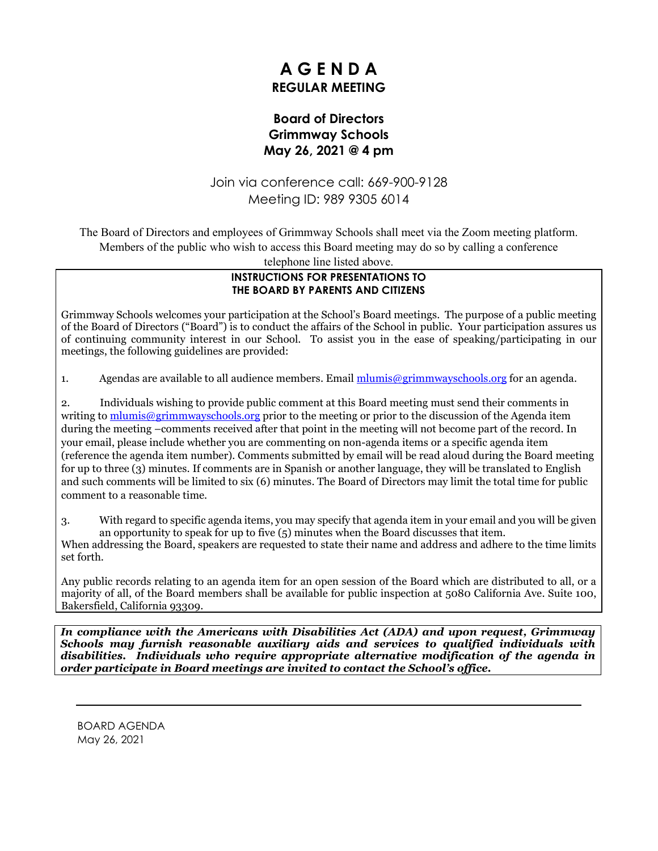# **A G E N D A REGULAR MEETING**

### **Board of Directors Grimmway Schools May 26, 2021 @ 4 pm**

Join via conference call: 669-900-9128 Meeting ID: 989 9305 6014

The Board of Directors and employees of Grimmway Schools shall meet via the Zoom meeting platform. Members of the public who wish to access this Board meeting may do so by calling a conference

telephone line listed above.

#### **INSTRUCTIONS FOR PRESENTATIONS TO THE BOARD BY PARENTS AND CITIZENS**

Grimmway Schools welcomes your participation at the School's Board meetings. The purpose of a public meeting of the Board of Directors ("Board") is to conduct the affairs of the School in public. Your participation assures us of continuing community interest in our School. To assist you in the ease of speaking/participating in our meetings, the following guidelines are provided:

1. Agendas are available to all audience members. Email [mlumis@grimmwayschools.org](mailto:mlumis@grimmwayschools.org) for an agenda.

2. Individuals wishing to provide public comment at this Board meeting must send their comments in writing to [mlumis@grimmwayschools.org](mailto:mlumis@grimmwayschools.org) prior to the meeting or prior to the discussion of the Agenda item during the meeting –comments received after that point in the meeting will not become part of the record. In your email, please include whether you are commenting on non-agenda items or a specific agenda item (reference the agenda item number). Comments submitted by email will be read aloud during the Board meeting for up to three (3) minutes. If comments are in Spanish or another language, they will be translated to English and such comments will be limited to six (6) minutes. The Board of Directors may limit the total time for public comment to a reasonable time.

3. With regard to specific agenda items, you may specify that agenda item in your email and you will be given an opportunity to speak for up to five  $(5)$  minutes when the Board discusses that item.

When addressing the Board, speakers are requested to state their name and address and adhere to the time limits set forth.

Any public records relating to an agenda item for an open session of the Board which are distributed to all, or a majority of all, of the Board members shall be available for public inspection at 5080 California Ave. Suite 100, Bakersfield, California 93309.

*In compliance with the Americans with Disabilities Act (ADA) and upon request, Grimmway Schools may furnish reasonable auxiliary aids and services to qualified individuals with disabilities. Individuals who require appropriate alternative modification of the agenda in order participate in Board meetings are invited to contact the School's office.*

BOARD AGENDA May 26, 2021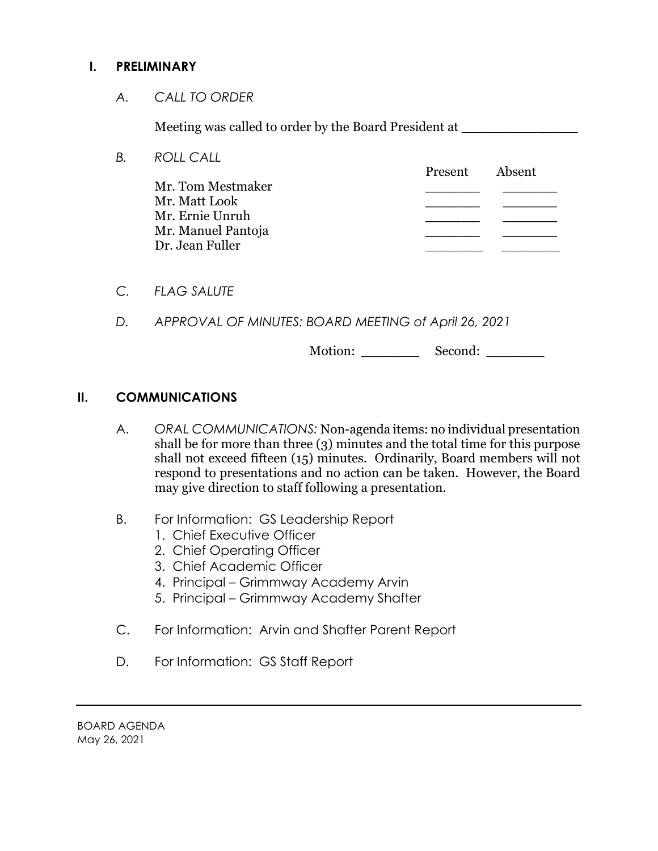#### **I. PRELIMINARY**

*A. CALL TO ORDER*

Meeting was called to order by the Board President at

- *B. ROLL CALL* Present Absent Mr. Tom Mestmaker **\_\_\_\_\_\_ \_\_\_\_\_\_** Mr. Matt Look **\_\_\_\_\_\_ \_\_\_\_\_\_** Mr. Ernie Unruh **\_\_\_\_\_\_ \_\_\_\_\_\_** Mr. Manuel Pantoja **\_\_\_\_\_\_ \_\_\_\_\_\_** Dr. Jean Fuller \_\_\_\_\_\_\_ \_\_\_\_\_\_\_
- *C. FLAG SALUTE*
- *D. APPROVAL OF MINUTES: BOARD MEETING of April 26, 2021*

Motion: \_\_\_\_\_\_\_\_\_\_\_\_ Second:

#### **II. COMMUNICATIONS**

- A. *ORAL COMMUNICATIONS:* Non-agenda items: no individual presentation shall be for more than three (3) minutes and the total time for this purpose shall not exceed fifteen (15) minutes. Ordinarily, Board members will not respond to presentations and no action can be taken. However, the Board may give direction to staff following a presentation.
- B. For Information: GS Leadership Report
	- 1. Chief Executive Officer
	- 2. Chief Operating Officer
	- 3. Chief Academic Officer
	- 4. Principal Grimmway Academy Arvin
	- 5. Principal Grimmway Academy Shafter
- C. For Information: Arvin and Shafter Parent Report
- D. For Information: GS Staff Report

BOARD AGENDA May 26, 2021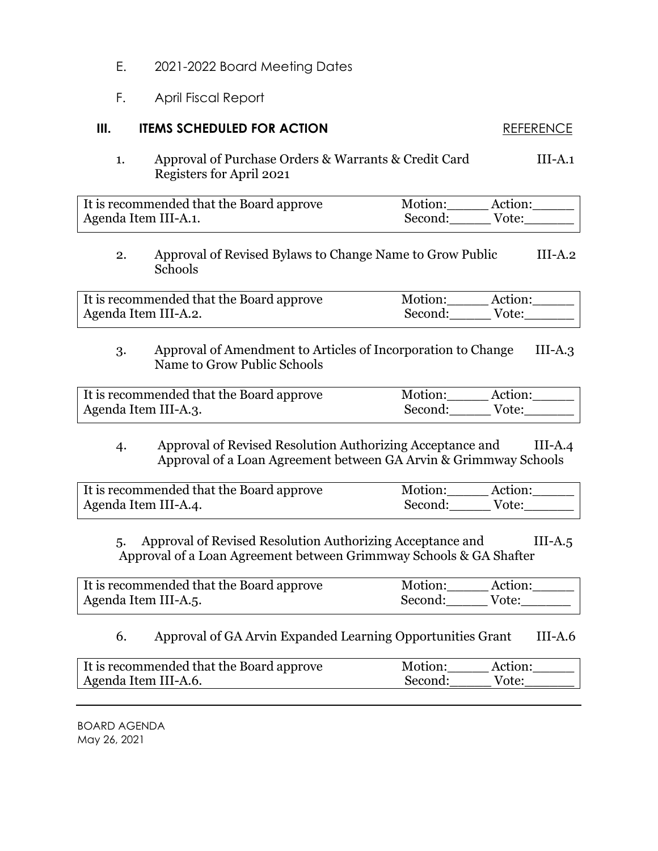- E. 2021-2022 Board Meeting Dates
- F. April Fiscal Report

## **III. ITEMS SCHEDULED FOR ACTION** REFERENCE

1. Approval of Purchase Orders & Warrants & Credit Card III-A.1 Registers for April 2021

| It is recommended that the Board approve | Motion:<br>Action: |
|------------------------------------------|--------------------|
| Agenda Item III-A.1.                     | Vote:<br>Second:   |

2. Approval of Revised Bylaws to Change Name to Grow Public III-A.2 Schools

It is recommended that the Board approve Motion: Action: Agenda Item III-A.2. Second: Vote:

3. Approval of Amendment to Articles of Incorporation to Change III-A.3 Name to Grow Public Schools

| It is recommended that the Board approve | Motion: | Action: |
|------------------------------------------|---------|---------|
| Agenda Item III-A.3.                     | Second: | Vote:   |

#### 4. Approval of Revised Resolution Authorizing Acceptance and III-A.4 Approval of a Loan Agreement between GA Arvin & Grimmway Schools

| It is recommended that the Board approve | Motion:<br>Action: |  |
|------------------------------------------|--------------------|--|
| Agenda Item III-A.4.                     | Second:<br>Vote:   |  |

5. Approval of Revised Resolution Authorizing Acceptance and III-A.5 Approval of a Loan Agreement between Grimmway Schools & GA Shafter

| It is recommended that the Board approve | Motion:<br>Action: |  |
|------------------------------------------|--------------------|--|
| Agenda Item III-A.5.                     | Second:<br>Vote:   |  |

#### 6. Approval of GA Arvin Expanded Learning Opportunities Grant III-A.6

| It is recommended that the Board approve | Motion: | Action: |
|------------------------------------------|---------|---------|
| Agenda Item III-A.6.                     | Second: | Vote:   |

BOARD AGENDA May 26, 2021